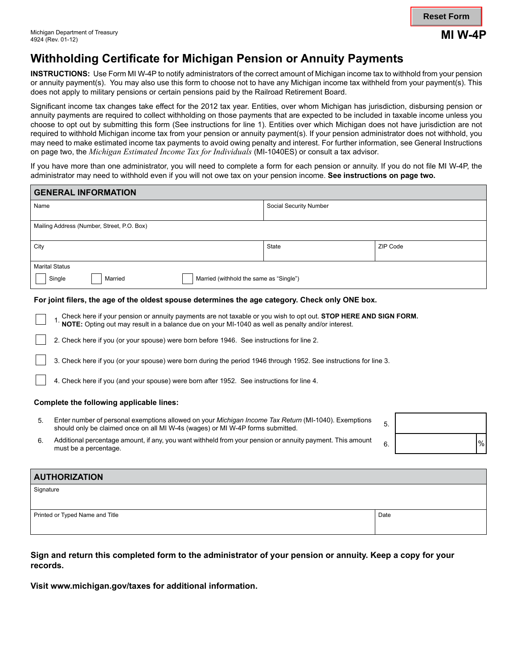# **Withholding Certificate for Michigan Pension or Annuity Payments**

**INSTRUCTIONS:** Use Form MI W-4P to notify administrators of the correct amount of Michigan income tax to withhold from your pension or annuity payment(s). You may also use this form to choose not to have any Michigan income tax withheld from your payment(s). This does not apply to military pensions or certain pensions paid by the Railroad Retirement Board.

Significant income tax changes take effect for the 2012 tax year. Entities, over whom Michigan has jurisdiction, disbursing pension or annuity payments are required to collect withholding on those payments that are expected to be included in taxable income unless you choose to opt out by submitting this form (See instructions for line 1). Entities over which Michigan does not have jurisdiction are not required to withhold Michigan income tax from your pension or annuity payment(s). If your pension administrator does not withhold, you may need to make estimated income tax payments to avoid owing penalty and interest. For further information, see General Instructions on page two, the *Michigan Estimated Income Tax for Individuals* (MI-1040ES) or consult a tax advisor.

If you have more than one administrator, you will need to complete a form for each pension or annuity. If you do not file MI W-4P, the administrator may need to withhold even if you will not owe tax on your pension income. **See instructions on page two.**

| <b>GENERAL INFORMATION</b>                                                                                                                                                                                          |                        |          |  |      |  |
|---------------------------------------------------------------------------------------------------------------------------------------------------------------------------------------------------------------------|------------------------|----------|--|------|--|
| Name                                                                                                                                                                                                                | Social Security Number |          |  |      |  |
| Mailing Address (Number, Street, P.O. Box)                                                                                                                                                                          |                        |          |  |      |  |
| City                                                                                                                                                                                                                | <b>State</b>           | ZIP Code |  |      |  |
| <b>Marital Status</b><br>Single<br>Married (withhold the same as "Single")<br>Married                                                                                                                               |                        |          |  |      |  |
| For joint filers, the age of the oldest spouse determines the age category. Check only ONE box.                                                                                                                     |                        |          |  |      |  |
| Check here if your pension or annuity payments are not taxable or you wish to opt out. STOP HERE AND SIGN FORM.<br>NOTE: Opting out may result in a balance due on your MI-1040 as well as penalty and/or interest. |                        |          |  |      |  |
| 2. Check here if you (or your spouse) were born before 1946. See instructions for line 2.                                                                                                                           |                        |          |  |      |  |
| 3. Check here if you (or your spouse) were born during the period 1946 through 1952. See instructions for line 3.                                                                                                   |                        |          |  |      |  |
| 4. Check here if you (and your spouse) were born after 1952. See instructions for line 4.                                                                                                                           |                        |          |  |      |  |
| Complete the following applicable lines:                                                                                                                                                                            |                        |          |  |      |  |
| Enter number of personal exemptions allowed on your Michigan Income Tax Return (MI-1040). Exemptions<br>5.<br>should only be claimed once on all MI W-4s (wages) or MI W-4P forms submitted.                        |                        | 5.       |  |      |  |
| Additional percentage amount, if any, you want withheld from your pension or annuity payment. This amount<br>6.<br>must be a percentage.                                                                            |                        | 6.       |  | $\%$ |  |
|                                                                                                                                                                                                                     |                        |          |  |      |  |

| <b>AUTHORIZATION</b>            |      |
|---------------------------------|------|
| Signature                       |      |
|                                 |      |
| Printed or Typed Name and Title | Date |
|                                 |      |

**Sign and return this completed form to the administrator of your pension or annuity. Keep a copy for your records.**

**Visit www.michigan.gov/taxes for additional information.**